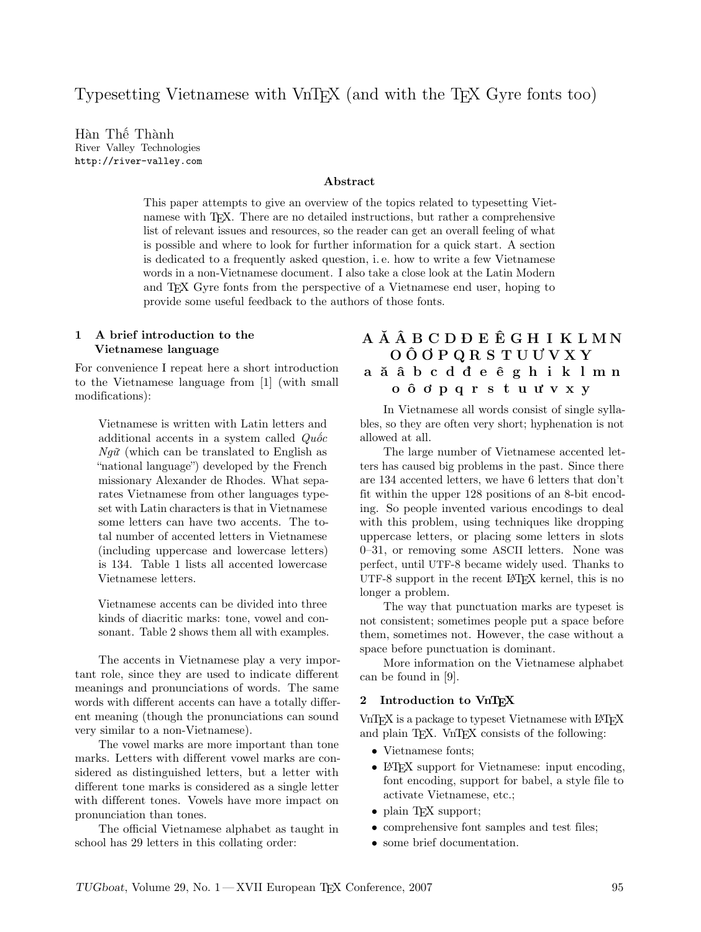Typesetting Vietnamese with VnT<sub>F</sub>X (and with the T<sub>F</sub>X Gyre fonts too)

Hàn Thế Thành River Valley Technologies http://river-valley.com

## Abstract

This paper attempts to give an overview of the topics related to typesetting Vietnamese with TEX. There are no detailed instructions, but rather a comprehensive list of relevant issues and resources, so the reader can get an overall feeling of what is possible and where to look for further information for a quick start. A section is dedicated to a frequently asked question, i. e. how to write a few Vietnamese words in a non-Vietnamese document. I also take a close look at the Latin Modern and TEX Gyre fonts from the perspective of a Vietnamese end user, hoping to provide some useful feedback to the authors of those fonts.

#### 1 A brief introduction to the Vietnamese language

For convenience I repeat here a short introduction to the Vietnamese language from [1] (with small modifications):

Vietnamese is written with Latin letters and additional accents in a system called  $Qu\acute{o}c$  $Ng\tilde{u}$  (which can be translated to English as "national language") developed by the French missionary Alexander de Rhodes. What separates Vietnamese from other languages typeset with Latin characters is that in Vietnamese some letters can have two accents. The total number of accented letters in Vietnamese (including uppercase and lowercase letters) is 134. Table 1 lists all accented lowercase Vietnamese letters.

Vietnamese accents can be divided into three kinds of diacritic marks: tone, vowel and consonant. Table 2 shows them all with examples.

The accents in Vietnamese play a very important role, since they are used to indicate different meanings and pronunciations of words. The same words with different accents can have a totally different meaning (though the pronunciations can sound very similar to a non-Vietnamese).

The vowel marks are more important than tone marks. Letters with different vowel marks are considered as distinguished letters, but a letter with different tone marks is considered as a single letter with different tones. Vowels have more impact on pronunciation than tones.

The official Vietnamese alphabet as taught in school has 29 letters in this collating order:

# A Ă Â B C D Đ E Ê G H I K L M N O Ô Ơ P Q R S T U Ư V X Y a ă â b c d đ e ê g h i k l m n o ô ơ p q r s t u ư v x y

In Vietnamese all words consist of single syllables, so they are often very short; hyphenation is not allowed at all.

The large number of Vietnamese accented letters has caused big problems in the past. Since there are 134 accented letters, we have 6 letters that don't fit within the upper 128 positions of an 8-bit encoding. So people invented various encodings to deal with this problem, using techniques like dropping uppercase letters, or placing some letters in slots 0–31, or removing some ASCII letters. None was perfect, until UTF-8 became widely used. Thanks to UTF-8 support in the recent LATEX kernel, this is no longer a problem.

The way that punctuation marks are typeset is not consistent; sometimes people put a space before them, sometimes not. However, the case without a space before punctuation is dominant.

More information on the Vietnamese alphabet can be found in [9].

#### 2 Introduction to VnTFX

VnT<sub>F</sub>X is a package to typeset Vietnamese with L<sup>AT</sup>F<sub>X</sub> and plain TEX. VnTEX consists of the following:

- Vietnamese fonts;
- LAT<sub>F</sub>X support for Vietnamese: input encoding, font encoding, support for babel, a style file to activate Vietnamese, etc.;
- plain T<sub>F</sub>X support;
- comprehensive font samples and test files;
- some brief documentation.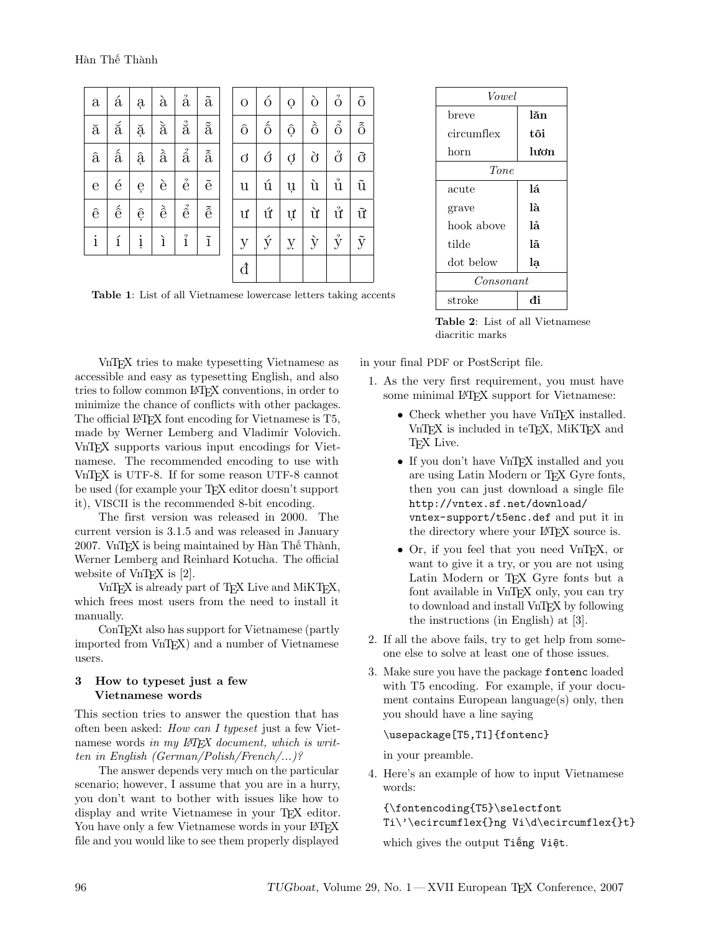| $\mathbf{a}$            | á                        | ą | $\grave{\mathrm{a}}$       | $\mathring{a}$           | $\tilde{a}$                |
|-------------------------|--------------------------|---|----------------------------|--------------------------|----------------------------|
| ă                       | á                        | ă | $\grave{\rm a}$            | $\overset{?}{\tilde{a}}$ | $\tilde{\mathbf{a}}$       |
| $\widehat{\mathrm{a}}$  | $\hat{\hat{\mathbf{a}}}$ | ậ | $\grave{\hat{\mathrm{a}}}$ | $\hat{\hat{\mathbf{a}}}$ | $\tilde{\hat{\mathbf{a}}}$ |
| $\overline{\mathrm{e}}$ | é                        | ę | è                          | $\acute{\text{e}}$       | $\tilde{\mathrm{e}}$       |
| $\hat{e}$               | $\hat{\hat{e}}$          | ệ | è                          | $\hat{\hat{e}}$          | $\tilde{\hat{e}}$          |
| $\mathbf{i}$            | í                        | į | ì                          | $\hat{1}$                | $\tilde{1}$                |

| $\overline{O}$        | ó                    | Ò              | ò          | $\stackrel{\scriptscriptstyle\circ}{\rm O}$ | $\tilde{O}$          |
|-----------------------|----------------------|----------------|------------|---------------------------------------------|----------------------|
| $\hat{O}$             | $\hat{0}$            | $\hat{Q}$      | $\delta$   | $\hat{\hat{O}}$                             | $\tilde{\hat{O}}$    |
| $\overrightarrow{O}$  | $\acute{\mathrm{o}}$ | $\dot{Q}$      | $\partial$ | $\ddot{\mathrm{o}}$                         | $\tilde{O}$          |
| $\mathbf u$           | ú                    | ų              | ù          | $\mathring{\text{u}}$                       | $\tilde{\mathbf{u}}$ |
| $\mathbf{u}^{\prime}$ | ứ                    | Ų              | ù          | $\mathring{\text{u}}$                       | $\tilde{\mathbf{u}}$ |
| $\overline{y}$        | ý                    | $\overline{y}$ | $\hat{y}$  | $\hat{y}$                                   | $\tilde{y}$          |
| đ                     |                      |                |            |                                             |                      |

Table 1: List of all Vietnamese lowercase letters taking accents

VnTEX tries to make typesetting Vietnamese as accessible and easy as typesetting English, and also tries to follow common LATEX conventions, in order to minimize the chance of conflicts with other packages. The official LAT<sub>EX</sub> font encoding for Vietnamese is T<sub>5</sub>, made by Werner Lemberg and Vladimir Volovich. VnTEX supports various input encodings for Vietnamese. The recommended encoding to use with VnT<sub>F</sub>X is UTF-8. If for some reason UTF-8 cannot be used (for example your T<sub>EX</sub> editor doesn't support it), VISCII is the recommended 8-bit encoding.

The first version was released in 2000. The current version is 3.1.5 and was released in January 2007. VnTEX is being maintained by Hàn Thế Thành, Werner Lemberg and Reinhard Kotucha. The official website of  $VnT<sub>F</sub>X$  is [2].

VnTEX is already part of TEX Live and MiKTEX, which frees most users from the need to install it manually.

ConTEXt also has support for Vietnamese (partly imported from VnTEX) and a number of Vietnamese users.

#### 3 How to typeset just a few Vietnamese words

This section tries to answer the question that has often been asked: How can I typeset just a few Vietnamese words in my  $\cancel{L}$ FFX document, which is written in English (German/Polish/French/...)?

The answer depends very much on the particular scenario; however, I assume that you are in a hurry, you don't want to bother with issues like how to display and write Vietnamese in your T<sub>E</sub>X editor. You have only a few Vietnamese words in your LATEX file and you would like to see them properly displayed

| <i>Vowel</i> |       |  |  |  |
|--------------|-------|--|--|--|
| breve        | lăn   |  |  |  |
| circumflex   | tôi   |  |  |  |
| horn         | lırdn |  |  |  |
| Tone         |       |  |  |  |
| acute        | lá    |  |  |  |
| grave        | là    |  |  |  |
| hook above   | lå    |  |  |  |
| tilde        | lã    |  |  |  |
| dot below    | la    |  |  |  |
| Consonant    |       |  |  |  |
| stroke       | đi    |  |  |  |

Table 2: List of all Vietnamese diacritic marks

in your final PDF or PostScript file.

- 1. As the very first requirement, you must have some minimal LAT<sub>EX</sub> support for Vietnamese:
	- Check whether you have VnTFX installed. VnT<sub>F</sub>X is included in teT<sub>F</sub>X, MiKT<sub>F</sub>X and T<sub>F</sub>X Live.
	- If you don't have VnT<sub>F</sub>X installed and you are using Latin Modern or TEX Gyre fonts, then you can just download a single file http://vntex.sf.net/download/ vntex-support/t5enc.def and put it in the directory where your LAT<sub>EX</sub> source is.
	- Or, if you feel that you need VnTFX, or want to give it a try, or you are not using Latin Modern or T<sub>F</sub>X Gyre fonts but a font available in VnT<sub>E</sub>X only, you can try to download and install VnTEX by following the instructions (in English) at [3].
- 2. If all the above fails, try to get help from someone else to solve at least one of those issues.
- 3. Make sure you have the package fontenc loaded with T5 encoding. For example, if your document contains European language(s) only, then you should have a line saying

\usepackage[T5,T1]{fontenc}

in your preamble.

4. Here's an example of how to input Vietnamese words:

{\fontencoding{T5}\selectfont Ti\'\ecircumflex{}ng Vi\d\ecircumflex{}t} which gives the output Tiếng Việt.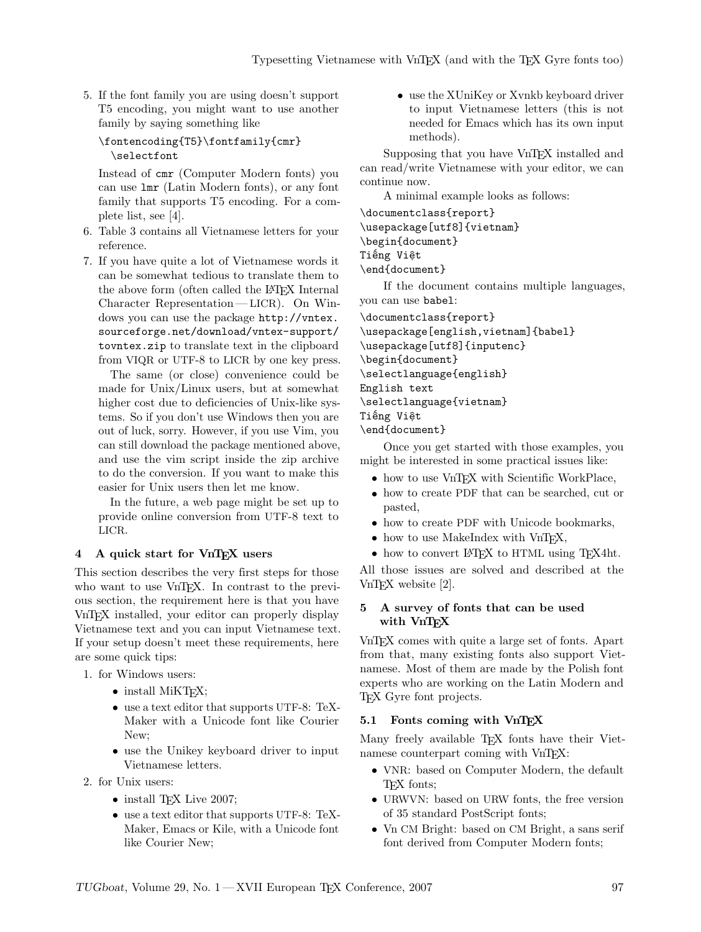5. If the font family you are using doesn't support T5 encoding, you might want to use another family by saying something like

```
\fontencoding{T5}\fontfamily{cmr}
  \selectfont
```
Instead of cmr (Computer Modern fonts) you can use lmr (Latin Modern fonts), or any font family that supports T5 encoding. For a complete list, see [4].

- 6. Table 3 contains all Vietnamese letters for your reference.
- 7. If you have quite a lot of Vietnamese words it can be somewhat tedious to translate them to the above form (often called the LAT<sub>EX</sub> Internal Character Representation— LICR). On Windows you can use the package http://vntex. sourceforge.net/download/vntex-support/ tovntex.zip to translate text in the clipboard from VIQR or UTF-8 to LICR by one key press.

The same (or close) convenience could be made for Unix/Linux users, but at somewhat higher cost due to deficiencies of Unix-like systems. So if you don't use Windows then you are out of luck, sorry. However, if you use Vim, you can still download the package mentioned above, and use the vim script inside the zip archive to do the conversion. If you want to make this easier for Unix users then let me know.

In the future, a web page might be set up to provide online conversion from UTF-8 text to LICR.

## 4 A quick start for VnTEX users

This section describes the very first steps for those who want to use VnT<sub>F</sub>X. In contrast to the previous section, the requirement here is that you have VnTEX installed, your editor can properly display Vietnamese text and you can input Vietnamese text. If your setup doesn't meet these requirements, here are some quick tips:

- 1. for Windows users:
	- install MiKT<sub>E</sub>X;
	- use a text editor that supports UTF-8: TeX-Maker with a Unicode font like Courier New;
	- use the Unikey keyboard driver to input Vietnamese letters.
- 2. for Unix users:
	- install T<sub>E</sub>X Live 2007;
	- use a text editor that supports UTF-8: TeX-Maker, Emacs or Kile, with a Unicode font like Courier New;

• use the XUniKey or Xvnkb keyboard driver to input Vietnamese letters (this is not needed for Emacs which has its own input methods).

Supposing that you have VnTFX installed and can read/write Vietnamese with your editor, we can continue now.

A minimal example looks as follows:

\documentclass{report} \usepackage[utf8]{vietnam} \begin{document} Tiếng Việt \end{document}

If the document contains multiple languages, you can use babel:

\documentclass{report}

```
\usepackage[english,vietnam]{babel}
\usepackage[utf8]{inputenc}
\begin{document}
\selectlanguage{english}
English text
\selectlanguage{vietnam}
Tiếng Việt
\end{document}
```
Once you get started with those examples, you might be interested in some practical issues like:

- how to use VnTFX with Scientific WorkPlace,
- how to create PDF that can be searched, cut or pasted,
- how to create PDF with Unicode bookmarks,
- how to use MakeIndex with VnTEX,
- how to convert LAT<sub>EX</sub> to HTML using T<sub>EX4</sub>ht.

All those issues are solved and described at the VnTEX website [2].

### 5 A survey of fonts that can be used with VnTEX

VnTEX comes with quite a large set of fonts. Apart from that, many existing fonts also support Vietnamese. Most of them are made by the Polish font experts who are working on the Latin Modern and TEX Gyre font projects.

#### 5.1 Fonts coming with VnTFX

Many freely available T<sub>F</sub>X fonts have their Vietnamese counterpart coming with VnTEX:

- VNR: based on Computer Modern, the default TEX fonts;
- URWVN: based on URW fonts, the free version of 35 standard PostScript fonts;
- Vn CM Bright: based on CM Bright, a sans serif font derived from Computer Modern fonts;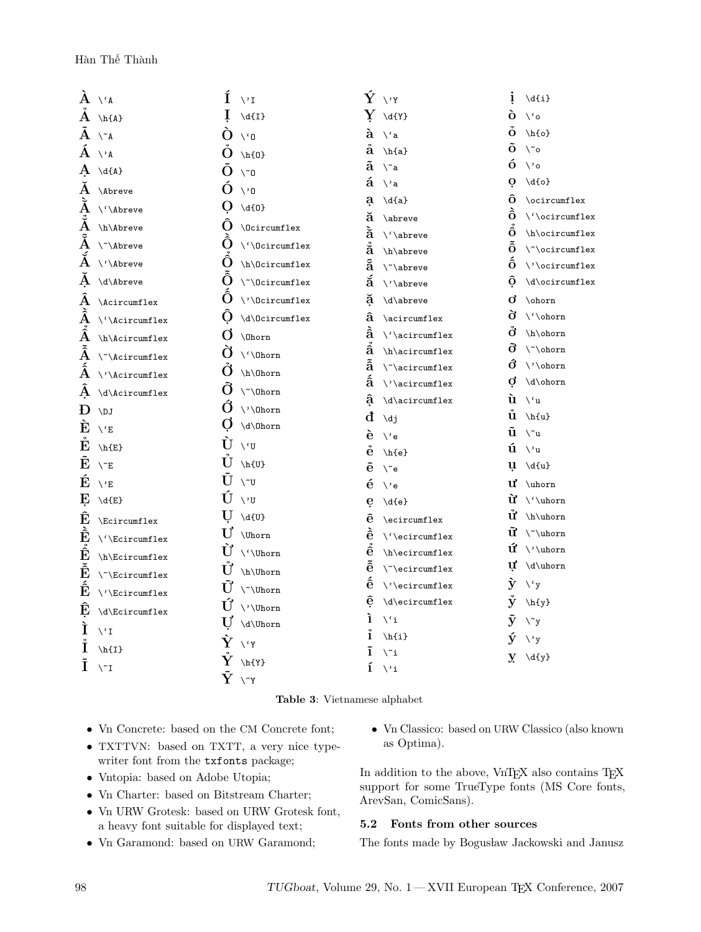|                            | $A \vee A$                             | Í                       | $\vee$ <sup>I</sup>                          |                               | $\mathbf{\acute{Y}}$ $\vee$ y       | į                    | $\d{i}$                                                   |
|----------------------------|----------------------------------------|-------------------------|----------------------------------------------|-------------------------------|-------------------------------------|----------------------|-----------------------------------------------------------|
|                            | $A \in A$                              | 1                       | $\d{I}$                                      |                               | $\rm Y$ \d{Y}                       | ò                    | $\setminus$ 'o                                            |
|                            | $A \wedge A$                           | O                       | $\setminus$ '0                               |                               | $\mathbf{\hat{a}} \vee \mathbf{a}$  |                      | $\stackrel{\circ}{O}$ \h{o}                               |
|                            | $\rm \AA$ $\vee$ a                     | O                       | $\hbar$ {0}                                  | å                             | $\hbar{a}$                          |                      | $\tilde{O}$ \~o                                           |
|                            | $A \setminus d\{A\}$                   | O                       | $\setminus$ ~0                               |                               | $\tilde{a} \quad \text{``a}$        |                      | $\mathbf{0} \quad \mathbf{0}$                             |
| Ă                          | <b>Abreve</b>                          | Ŏ                       | $\vee$ <sup>0</sup>                          | á                             | ∖'a                                 | $\mathbf{o}$         | $\{o\}$                                                   |
|                            | $\tilde{\mathbf{A}}$ \'\Abreve         | O                       | $\d{0}$                                      | $\mathbf a$                   | $\d{a}$                             | ô                    | $\verb \ocircumflex $                                     |
|                            | $\check{A}$ \h\Abreve                  | Õ                       | \Ocircumflex                                 | ă                             | \abreve                             | Ô.                   | $\backslash$ ' \ocircumflex                               |
| $\tilde{\text{A}}$         | \~\Abreve                              | Ô                       |                                              | ă                             | $\backslash$ ' \abreve              | ô                    | \h\ocircumflex                                            |
| $\bf A$                    |                                        | Ô                       | $\verb \\' \backslash 0 \texttt{circumflex}$ | $\ddot{\tilde{\mathbf{a}}}$   | \h\abreve                           |                      | $\tilde{0}$ \"\ocircumflex                                |
|                            | \'\Abreve                              |                         | \h\Ocircumflex                               | ã                             | $\verb \ $ abreve                   |                      | $\hat{0}$ /'\ocircumflex                                  |
| $\mathbf{A}$               | \d\Abreve                              | Ô                       | $\verb \N" \def \verb correndles $           | ă                             | \'\abreve                           | Ô                    | \d\ocircumflex                                            |
|                            | $\tilde{\mathbf{A}}$ \Acircumflex      | Ô                       | $\backslash$ '\Ocircumflex                   | ă                             | \d\abreve                           | Q,                   | \ohorn                                                    |
|                            | $\rm \AA$ \'\Acircumflex               | O                       | \d\0circumflex                               | â                             | \acircumflex                        | ð                    | \'\ohorn                                                  |
|                            | $\tilde{A}$ \h\Acircumflex             | Ω                       | \0horn                                       | à<br>$\hat{\hat{\mathbf{a}}}$ | $\backslash$ ' \acircumflex         | Ő                    | \h\ohorn                                                  |
|                            | $\tilde{\text{A}}$ \~\Acircumflex      | Ø                       | $\backslash$ ' \0horn                        | ã                             | \h\acircumflex                      | Õ.<br>Ć              | $\verb \ $ ohorn                                          |
|                            | $\tilde{\mathrm{A}}$ \'\Acircumflex    | O                       | \h\0horn                                     | á                             | $\verb \x $ \cases are $\verb max $ | d                    | \'\ohorn<br>\d\ohorn                                      |
| Α                          | \d\Acircumflex                         | O                       | $\Upsilon$ \Ohorn                            | â                             | $\backslash$ ' \acircumflex         | ù                    |                                                           |
| Ð                          | \DJ                                    | Ø                       | \'\Ohorn                                     | đ                             | \d\acircumflex                      | ů                    | ∖'u<br>$\hbar{u}$                                         |
| È                          | $\setminus$ 'E                         |                         | \d\0horn                                     | è                             | $\overline{d}j$                     | ũ                    | $\mathcal{N}$ u                                           |
| Ė                          | $\hbar$ {E}                            | ŢΤ                      | $\setminus$ <sup>'</sup> U                   | ė                             | $\vee$ e                            |                      | $\mathbf{u} \vee \mathbf{u}$                              |
| Ĕ                          | $\setminus E$                          | Ú                       | $\hbar$ {U}                                  | $\tilde{e}$                   | $\hbar{e}$<br>$\mathcal{C}$         |                      | $\mathbf{u} \setminus d\{\mathbf{u}\}$                    |
| É                          | $\vee$ <sup>r</sup>                    | ŢŢ                      | $\setminus$ ~U                               | é                             | $\vee$ e                            |                      | $\mathbf{u}' \in \mathbb{R}$                              |
| E                          | $\dE$                                  | Ú                       | $\vee$ <sup>v</sup> U                        | e                             | $\d{e}$                             | ù                    | $\backslash$ ' \uhorn                                     |
| Ê                          | \Ecircumflex                           |                         | $U \setminus d\{U\}$                         | ê                             | \ecircumflex                        | Ű                    | \h\uhorn                                                  |
| È                          | \'\Ecircumflex                         |                         | $U'$ \Uhorn                                  | è                             | \'\ecircumflex                      | ữ                    | $\lq\n\$                                                  |
| $\hat{\hat{\mathbf{E}}}$   |                                        | Ù                       | $\backslash$ ' \Uhorn                        | $\hat{\hat{\mathbf{e}}}$      | \h\ecircumflex                      | ứ                    | $\backslash$ ' \uhorn                                     |
| $\tilde{\hat{\mathbf{E}}}$ | \h\Ecircumflex                         | Ů                       | \h\Uhorn                                     | $\tilde{\hat{\mathbf{e}}}$    | $\verb \` ecircumflex $             |                      | $\mathbf{U}' \backslash \text{d} \backslash \text{uhorn}$ |
| $\mathbf{\hat{E}}$         | $\Upsilon$                             | U                       | \~\Uhorn                                     | $\hat{\mathbf{e}}$            | $\backslash$ ' \ecircumflex         | $\mathbf{\hat{y}}$   | $\chi$ <sup>c</sup> y                                     |
|                            | $\backslash$ '\Ecircumflex             | Ú                       | $\backslash$ ' \Uhorn                        | ê                             | \d\ecircumflex                      | $\mathbf{\hat{y}}$   | $\hbar{y}$                                                |
| Ê                          | \d\Ecircumflex                         | U                       | $\dU$ horn                                   | ì                             | $\mathcal{N}$                       | $\tilde{\mathbf{y}}$ | $\mathcal{L}$                                             |
| Ì                          | $\setminus$ 'I                         | Ŷ                       |                                              | î                             | $\hbar{i}$                          | ý                    | $\vee$ y                                                  |
| İ                          | $\hbar{1}$                             |                         | $\setminus$ 'Y                               | ĩ                             | $\mathcal{N}$ i                     | $\mathbf{y}$         | $\d{y}$                                                   |
| Ĩ                          | $\backslash \widetilde{\phantom{a}}$ I | $\mathring{\mathbf{Y}}$ | $\hbar{Y}$                                   | í                             | $\vee$ i                            |                      |                                                           |
|                            |                                        | $\tilde{\rm Y}$         | $\setminus$ ~Y                               |                               |                                     |                      |                                                           |

#### Table 3: Vietnamese alphabet

- Vn Concrete: based on the CM Concrete font;
- TXTTVN: based on TXTT, a very nice typewriter font from the txfonts package;
- Vntopia: based on Adobe Utopia;
- Vn Charter: based on Bitstream Charter;
- $\bullet\,$  Vn URW Grotesk: based on URW Grotesk font, a heavy font suitable for displayed text;
- Vn Garamond: based on URW Garamond;

• Vn Classico: based on URW Classico (also known as Optima).

In addition to the above, VnTEX also contains TEX support for some TrueType fonts (MS Core fonts, ArevSan, ComicSans).

## 5.2 Fonts from other sources

The fonts made by Bogusław Jackowski and Janusz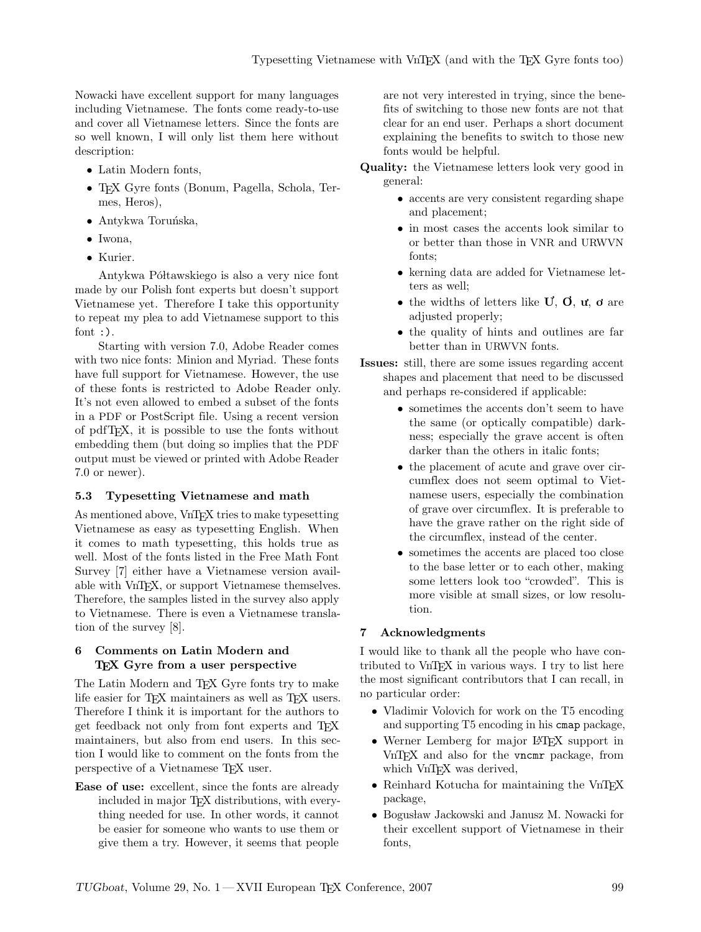Nowacki have excellent support for many languages including Vietnamese. The fonts come ready-to-use and cover all Vietnamese letters. Since the fonts are so well known, I will only list them here without description:

- Latin Modern fonts,
- TEX Gyre fonts (Bonum, Pagella, Schola, Termes, Heros),
- $\bullet$  Antykwa Toruńska,
- Iwona,
- Kurier.

Antykwa Półtawskiego is also a very nice font made by our Polish font experts but doesn't support Vietnamese yet. Therefore I take this opportunity to repeat my plea to add Vietnamese support to this font  $:$ ).

Starting with version 7.0, Adobe Reader comes with two nice fonts: Minion and Myriad. These fonts have full support for Vietnamese. However, the use of these fonts is restricted to Adobe Reader only. It's not even allowed to embed a subset of the fonts in a PDF or PostScript file. Using a recent version of pdfTEX, it is possible to use the fonts without embedding them (but doing so implies that the PDF output must be viewed or printed with Adobe Reader 7.0 or newer).

## 5.3 Typesetting Vietnamese and math

As mentioned above, VnT<sub>F</sub>X tries to make typesetting Vietnamese as easy as typesetting English. When it comes to math typesetting, this holds true as well. Most of the fonts listed in the Free Math Font Survey [7] either have a Vietnamese version available with VnTEX, or support Vietnamese themselves. Therefore, the samples listed in the survey also apply to Vietnamese. There is even a Vietnamese translation of the survey [8].

## 6 Comments on Latin Modern and TEX Gyre from a user perspective

The Latin Modern and TEX Gyre fonts try to make life easier for TEX maintainers as well as TEX users. Therefore I think it is important for the authors to get feedback not only from font experts and TEX maintainers, but also from end users. In this section I would like to comment on the fonts from the perspective of a Vietnamese TEX user.

Ease of use: excellent, since the fonts are already included in major T<sub>EX</sub> distributions, with everything needed for use. In other words, it cannot be easier for someone who wants to use them or give them a try. However, it seems that people

are not very interested in trying, since the benefits of switching to those new fonts are not that clear for an end user. Perhaps a short document explaining the benefits to switch to those new fonts would be helpful.

- Quality: the Vietnamese letters look very good in general:
	- accents are very consistent regarding shape and placement;
	- in most cases the accents look similar to or better than those in VNR and URWVN fonts;
	- kerning data are added for Vietnamese letters as well;
	- the widths of letters like  $\mathbf{U}, \mathbf{O}, \mathbf{u}, \mathbf{o}$  are adjusted properly;
	- the quality of hints and outlines are far better than in URWVN fonts.
- Issues: still, there are some issues regarding accent shapes and placement that need to be discussed and perhaps re-considered if applicable:
	- sometimes the accents don't seem to have the same (or optically compatible) darkness; especially the grave accent is often darker than the others in italic fonts;
	- the placement of acute and grave over circumflex does not seem optimal to Vietnamese users, especially the combination of grave over circumflex. It is preferable to have the grave rather on the right side of the circumflex, instead of the center.
	- sometimes the accents are placed too close to the base letter or to each other, making some letters look too "crowded". This is more visible at small sizes, or low resolution.

## 7 Acknowledgments

I would like to thank all the people who have contributed to VnTEX in various ways. I try to list here the most significant contributors that I can recall, in no particular order:

- Vladimir Volovich for work on the T5 encoding and supporting T5 encoding in his cmap package,
- Werner Lemberg for major LAT<sub>EX</sub> support in VnTEX and also for the vncmr package, from which VnTEX was derived,
- Reinhard Kotucha for maintaining the VnTFX package,
- Bogusław Jackowski and Janusz M. Nowacki for their excellent support of Vietnamese in their fonts,